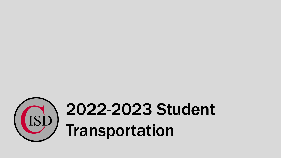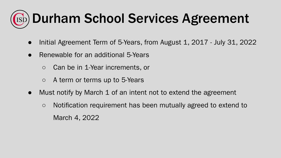#### **ESD) Durham School Services Agreement**

- Initial Agreement Term of 5-Years, from August 1, 2017 July 31, 2022
- Renewable for an additional 5-Years
	- Can be in 1-Year increments, or
	- A term or terms up to 5-Years
- Must notify by March 1 of an intent not to extend the agreement
	- Notification requirement has been mutually agreed to extend to March 4, 2022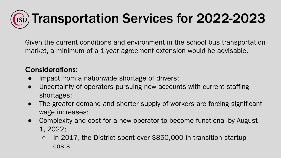## **Esp) Transportation Services for 2022-2023**

Given the current conditions and environment in the school bus transportation market, a minimum of a 1-year agreement extension would be advisable.

#### **Considerations:**

- Impact from a nationwide shortage of drivers;
- Uncertainty of operators pursuing new accounts with current staffing shortages;
- The greater demand and shorter supply of workers are forcing significant wage increases;
- Complexity and cost for a new operator to become functional by August 1, 2022;
	- In 2017, the District spent over \$850,000 in transition startup costs.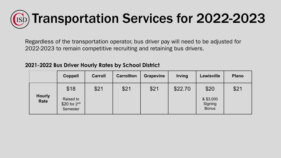# Transportation Services for 2022-2023

Regardless of the transportation operator, bus driver pay will need to be adjusted for 2022-2023 to remain competitive recruiting and retaining bus drivers.

#### **2021-2022 Bus Driver Hourly Rates by School District**

|                       | <b>Coppell</b>                                   | <b>Carroll</b> | <b>Carrollton</b> | <b>Grapevine</b> | <b>Irving</b> | Lewisville                                   | <b>Plano</b> |
|-----------------------|--------------------------------------------------|----------------|-------------------|------------------|---------------|----------------------------------------------|--------------|
| <b>Hourly</b><br>Rate | \$18<br>Raised to<br>$$20$ for $2nd$<br>Semester | \$21           | \$21              | \$21             | \$22.70       | \$20<br>& \$3,000<br>Signing<br><b>Bonus</b> | \$21         |